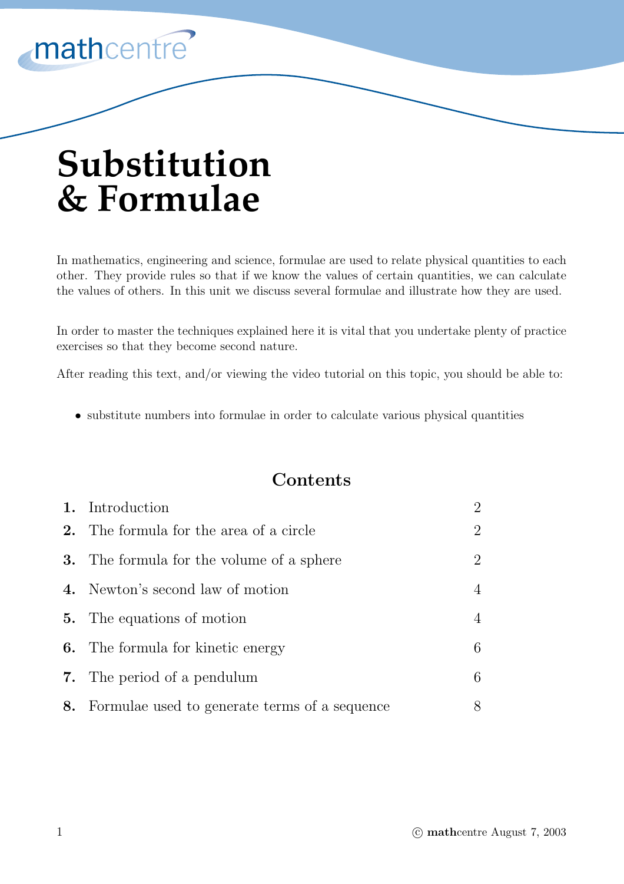

# **Substitution & Formulae**

In mathematics, engineering and science, formulae are used to relate physical quantities to each other. They provide rules so that if we know the values of certain quantities, we can calculate the values of others. In this unit we discuss several formulae and illustrate how they are used.

In order to master the techniques explained here it is vital that you undertake plenty of practice exercises so that they become second nature.

After reading this text, and/or viewing the video tutorial on this topic, you should be able to:

• substitute numbers into formulae in order to calculate various physical quantities

### **Contents**

| 1. Introduction                                  | $\overline{2}$ |
|--------------------------------------------------|----------------|
| <b>2.</b> The formula for the area of a circle   | $\overline{2}$ |
| <b>3.</b> The formula for the volume of a sphere | $\overline{2}$ |
| 4. Newton's second law of motion                 | $\overline{4}$ |
| <b>5.</b> The equations of motion                | $\overline{4}$ |
| <b>6.</b> The formula for kinetic energy         | 6              |
| <b>7.</b> The period of a pendulum               | 6              |
| 8. Formulae used to generate terms of a sequence | 8              |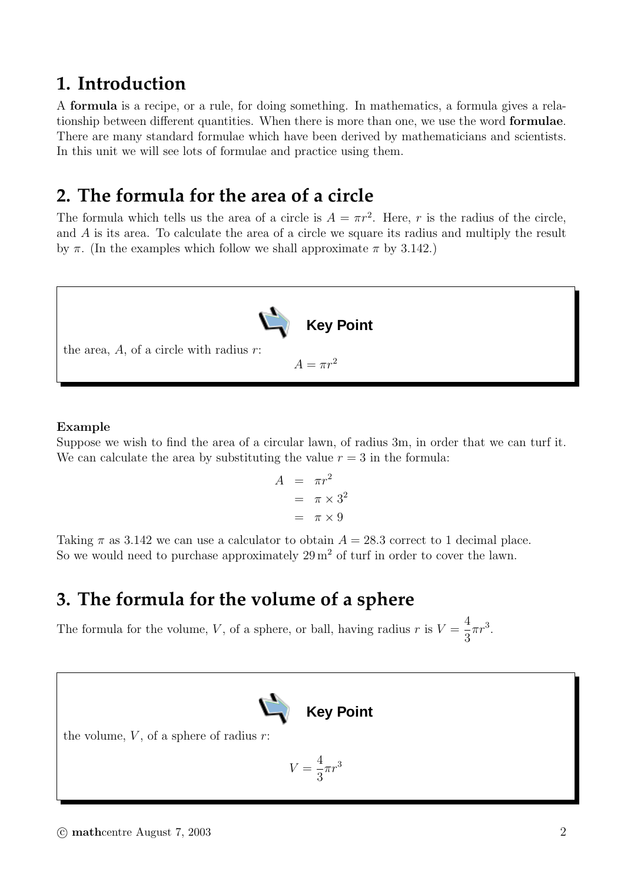### **1. Introduction**

A **formula** is a recipe, or a rule, for doing something. In mathematics, a formula gives a relationship between different quantities. When there is more than one, we use the word **formulae**. There are many standard formulae which have been derived by mathematicians and scientists. In this unit we will see lots of formulae and practice using them.

### **2. The formula for the area of a circle**

The formula which tells us the area of a circle is  $A = \pi r^2$ . Here, r is the radius of the circle, and A is its area. To calculate the area of a circle we square its radius and multiply the result by  $\pi$ . (In the examples which follow we shall approximate  $\pi$  by 3.142.)



#### **Example**

Suppose we wish to find the area of a circular lawn, of radius 3m, in order that we can turf it. We can calculate the area by substituting the value  $r = 3$  in the formula:

$$
A = \pi r^2
$$
  
=  $\pi \times 3^2$   
=  $\pi \times 9$ 

Taking  $\pi$  as 3.142 we can use a calculator to obtain  $A = 28.3$  correct to 1 decimal place. So we would need to purchase approximately  $29 \,\mathrm{m}^2$  of turf in order to cover the lawn.

### **3. The formula for the volume of a sphere**

The formula for the volume, V, of a sphere, or ball, having radius r is  $V = \frac{4}{3}$ 3  $\pi r^3$ .



the volume,  $V$ , of a sphere of radius  $r$ :

$$
V = \frac{4}{3}\pi r^3
$$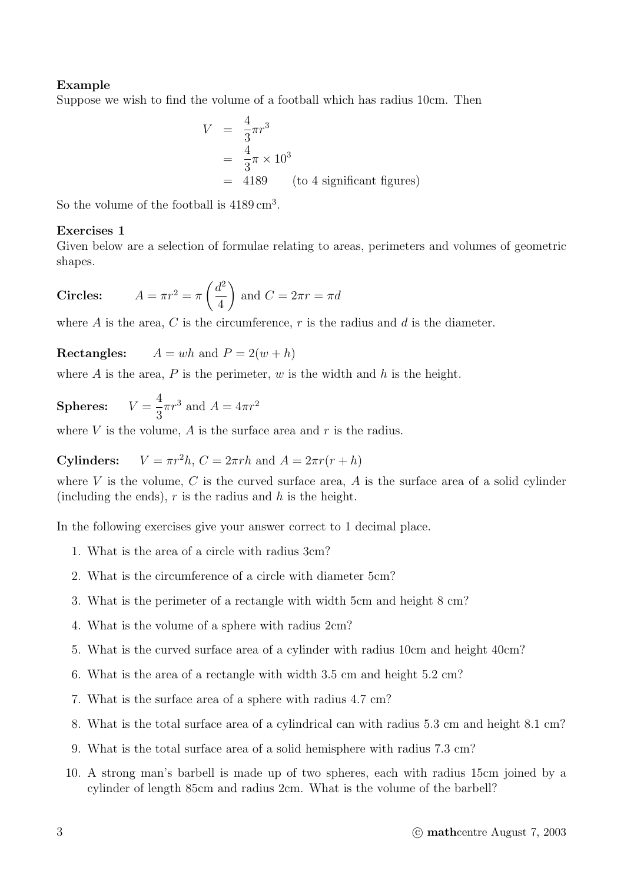### **Example**

Suppose we wish to find the volume of a football which has radius 10cm. Then

$$
V = \frac{4}{3}\pi r^3
$$
  
=  $\frac{4}{3}\pi \times 10^3$   
= 4189 (to 4 significant figures)

So the volume of the football is  $4189 \text{ cm}^3$ .

### **Exercises 1**

Given below are a selection of formulae relating to areas, perimeters and volumes of geometric shapes.

**Circles:** 
$$
A = \pi r^2 = \pi \left(\frac{d^2}{4}\right)
$$
 and  $C = 2\pi r = \pi d$ 

where  $A$  is the area,  $C$  is the circumference,  $r$  is the radius and  $d$  is the diameter.

**Rectangles:**  $A = wh$  and  $P = 2(w + h)$ 

where A is the area, P is the perimeter, w is the width and h is the height.

**Spheres:** 
$$
V = \frac{4}{3}\pi r^3
$$
 and  $A = 4\pi r^2$ 

where  $V$  is the volume,  $A$  is the surface area and  $r$  is the radius.

**Cylinders:**  $V = \pi r^2 h$ ,  $C = 2\pi rh$  and  $A = 2\pi r(r + h)$ 

where  $V$  is the volume,  $C$  is the curved surface area,  $A$  is the surface area of a solid cylinder (including the ends),  $r$  is the radius and  $h$  is the height.

In the following exercises give your answer correct to 1 decimal place.

- 1. What is the area of a circle with radius 3cm?
- 2. What is the circumference of a circle with diameter 5cm?
- 3. What is the perimeter of a rectangle with width 5cm and height 8 cm?
- 4. What is the volume of a sphere with radius 2cm?
- 5. What is the curved surface area of a cylinder with radius 10cm and height 40cm?
- 6. What is the area of a rectangle with width 3.5 cm and height 5.2 cm?
- 7. What is the surface area of a sphere with radius 4.7 cm?
- 8. What is the total surface area of a cylindrical can with radius 5.3 cm and height 8.1 cm?
- 9. What is the total surface area of a solid hemisphere with radius 7.3 cm?
- 10. A strong man's barbell is made up of two spheres, each with radius 15cm joined by a cylinder of length 85cm and radius 2cm. What is the volume of the barbell?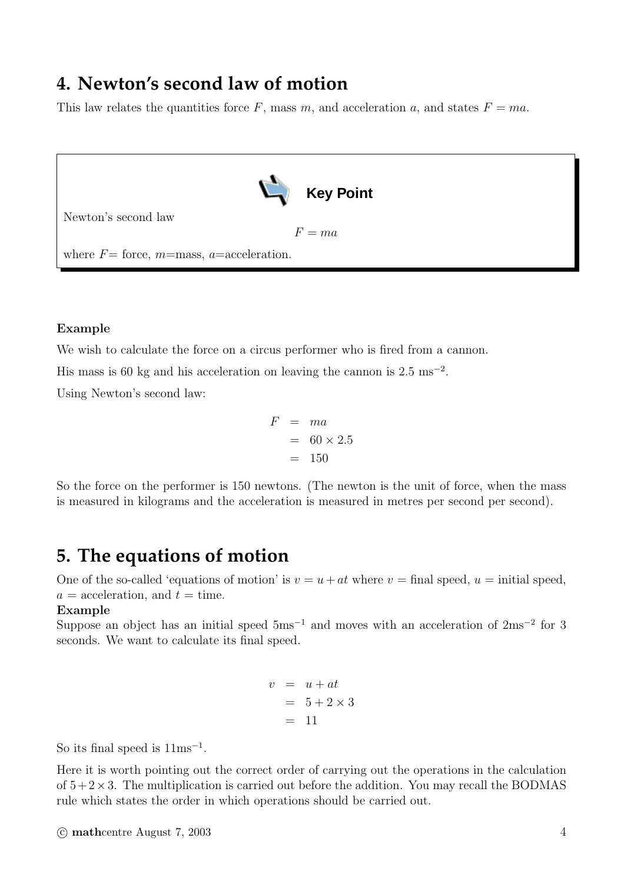# **4. Newton's second law of motion**

This law relates the quantities force F, mass m, and acceleration a, and states  $F = ma$ .



### **Example**

We wish to calculate the force on a circus performer who is fired from a cannon.

His mass is 60 kg and his acceleration on leaving the cannon is  $2.5 \text{ ms}^{-2}$ .

Using Newton's second law:

$$
F = ma
$$
  
= 60 × 2.5  
= 150

So the force on the performer is 150 newtons. (The newton is the unit of force, when the mass is measured in kilograms and the acceleration is measured in metres per second per second).

### **5. The equations of motion**

One of the so-called 'equations of motion' is  $v = u + at$  where  $v =$  final speed,  $u =$  initial speed,  $a = \text{acceleration}, \text{ and } t = \text{time}.$ 

#### **Example**

Suppose an object has an initial speed  $5 \text{ms}^{-1}$  and moves with an acceleration of  $2 \text{ms}^{-2}$  for 3 seconds. We want to calculate its final speed.

$$
v = u + at
$$
  

$$
= 5 + 2 \times 3
$$
  

$$
= 11
$$

So its final speed is  $11ms^{-1}$ .

Here it is worth pointing out the correct order of carrying out the operations in the calculation of  $5+2\times3$ . The multiplication is carried out before the addition. You may recall the BODMAS rule which states the order in which operations should be carried out.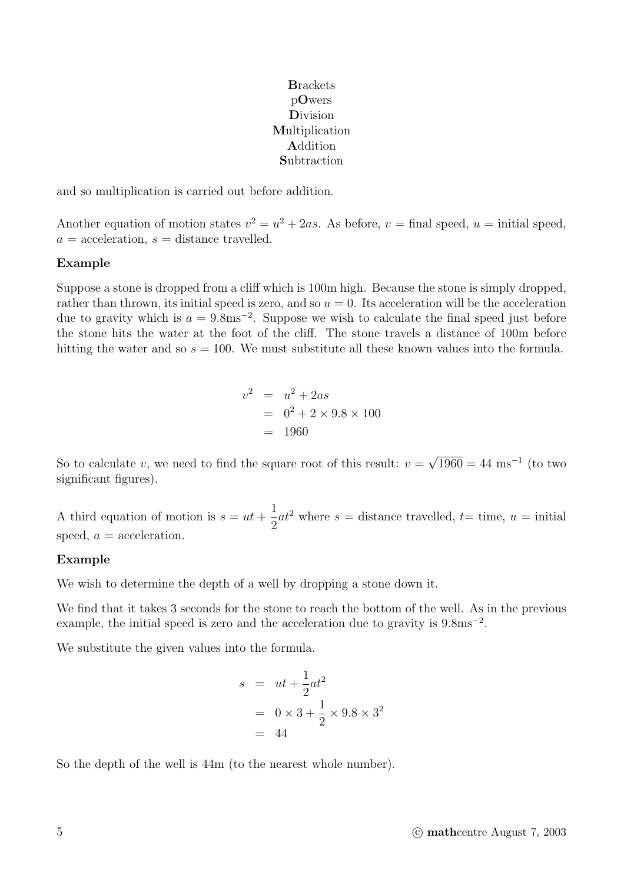**B**rackets p**O**wers **D**ivision **M**ultiplication **A**ddition **S**ubtraction

and so multiplication is carried out before addition.

Another equation of motion states  $v^2 = u^2 + 2as$ . As before,  $v =$  final speed,  $u =$  initial speed,  $a = \text{acceleration}, s = \text{distance travelled}.$ 

#### **Example**

Suppose a stone is dropped from a cliff which is 100m high. Because the stone is simply dropped, rather than thrown, its initial speed is zero, and so  $u = 0$ . Its acceleration will be the acceleration due to gravity which is  $a = 9.8$ ms<sup>-2</sup>. Suppose we wish to calculate the final speed just before the stone hits the water at the foot of the cliff. The stone travels a distance of 100m before hitting the water and so  $s = 100$ . We must substitute all these known values into the formula.

$$
v^2 = u^2 + 2as
$$
  
= 0<sup>2</sup> + 2 × 9.8 × 100  
= 1960

So to calculate v, we need to find the square root of this result:  $v = \sqrt{1960} = 44 \text{ ms}^{-1}$  (to two significant figures).

A third equation of motion is  $s = ut +$ 1 2  $at^2$  where  $s =$  distance travelled,  $t=$  time,  $u =$  initial speed,  $a = \text{acceleration}$ .

#### **Example**

We wish to determine the depth of a well by dropping a stone down it.

We find that it takes 3 seconds for the stone to reach the bottom of the well. As in the previous example, the initial speed is zero and the acceleration due to gravity is  $9.8 \text{ms}^{-2}$ .

We substitute the given values into the formula.

$$
s = ut + \frac{1}{2}at^2
$$
  
= 0 × 3 +  $\frac{1}{2}$  × 9.8 × 3<sup>2</sup>  
= 44

So the depth of the well is 44m (to the nearest whole number).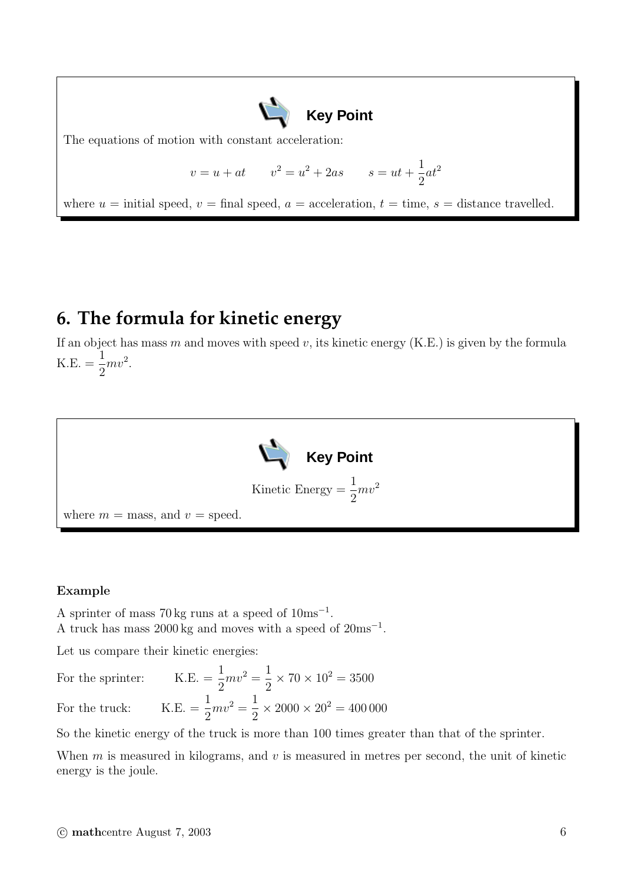

The equations of motion with constant acceleration:

$$
v = u + at
$$
  $v^2 = u^2 + 2as$   $s = ut + \frac{1}{2}at^2$ 

where  $u =$  initial speed,  $v =$  final speed,  $a =$  acceleration,  $t =$  time,  $s =$  distance travelled.

### **6. The formula for kinetic energy**

If an object has mass m and moves with speed v, its kinetic energy  $(K.E.)$  is given by the formula K.E.  $=\frac{1}{2}$ 2  $mv^2$ .



#### **Example**

A sprinter of mass 70 kg runs at a speed of 10ms<sup>−</sup><sup>1</sup>. A truck has mass 2000 kg and moves with a speed of  $20 \text{ms}^{-1}$ .

Let us compare their kinetic energies:

For the sprinter: 2  $mv^2 = \frac{1}{2}$ 2  $\times 70 \times 10^2 = 3500$ 

For the truck:  $K.E. = \frac{1}{2}$ 2  $mv^2 = \frac{1}{2}$ 2  $\times 2000 \times 20^{2} = 400\,000$ 

So the kinetic energy of the truck is more than 100 times greater than that of the sprinter.

When  $m$  is measured in kilograms, and  $v$  is measured in metres per second, the unit of kinetic energy is the joule.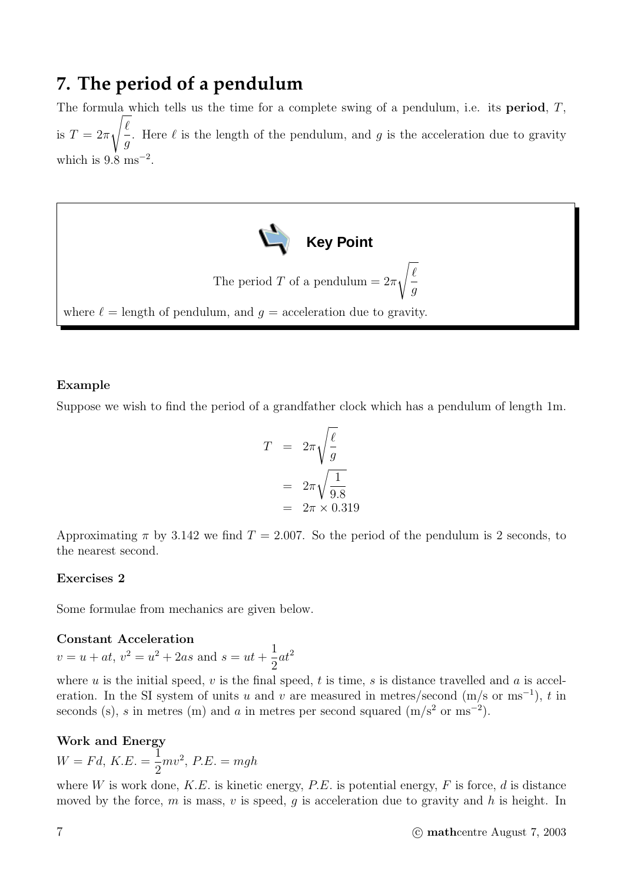### **7. The period of a pendulum**

The formula which tells us the time for a complete swing of a pendulum, i.e. its **period**, T, is  $T=2\pi$  $\sqrt{\ell}$ g . Here  $\ell$  is the length of the pendulum, and g is the acceleration due to gravity which is  $9.8 \text{ ms}^{-2}$ .



### **Example**

Suppose we wish to find the period of a grandfather clock which has a pendulum of length 1m.

$$
T = 2\pi \sqrt{\frac{\ell}{g}}
$$

$$
= 2\pi \sqrt{\frac{1}{9.8}}
$$

$$
= 2\pi \times 0.319
$$

Approximating  $\pi$  by 3.142 we find  $T = 2.007$ . So the period of the pendulum is 2 seconds, to the nearest second.

### **Exercises 2**

Some formulae from mechanics are given below.

### **Constant Acceleration**

 $v = u + at$ ,  $v^2 = u^2 + 2as$  and  $s = ut + \frac{1}{2}$ 2  $at^2$ 

where u is the initial speed, v is the final speed, t is time, s is distance travelled and a is acceleration. In the SI system of units u and v are measured in metres/second  $(m/s \text{ or } ms^{-1})$ , t in seconds (s), s in metres (m) and a in metres per second squared  $(m/s^2 \text{ or } m s^{-2})$ .

### **Work and Energy**

 $W = Fd, K.E. = \frac{1}{2}$ 2  $mv^2$ ,  $P.E. = mgh$ 

where W is work done,  $K.E.$  is kinetic energy,  $P.E.$  is potential energy,  $F$  is force,  $d$  is distance moved by the force, m is mass, v is speed, q is acceleration due to gravity and h is height. In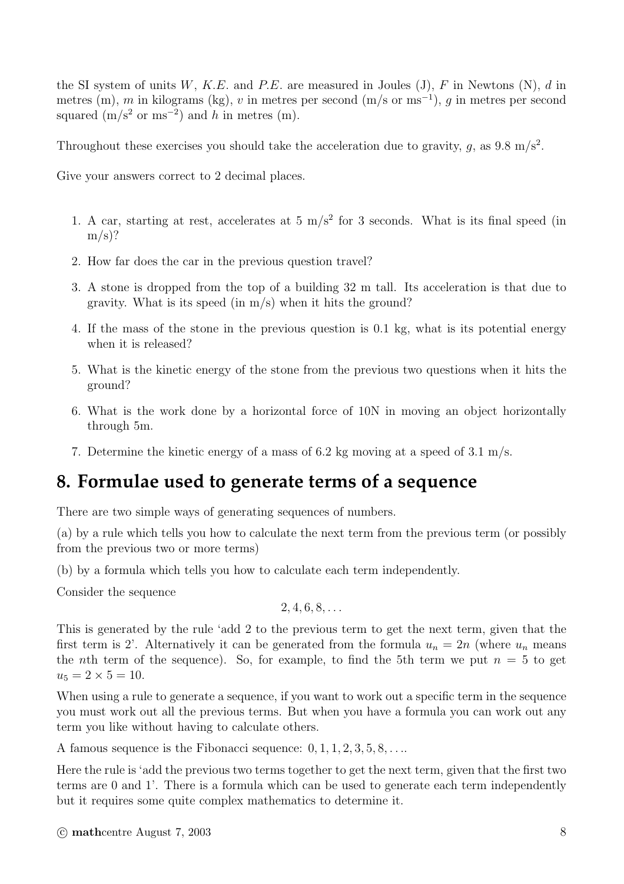the SI system of units W, K.E. and P.E. are measured in Joules (J), F in Newtons (N), d in metres (m), m in kilograms (kg), v in metres per second (m/s or ms<sup>-1</sup>), q in metres per second squared  $(m/s<sup>2</sup> or ms<sup>-2</sup>)$  and h in metres (m).

Throughout these exercises you should take the acceleration due to gravity, q, as  $9.8 \text{ m/s}^2$ .

Give your answers correct to 2 decimal places.

- 1. A car, starting at rest, accelerates at 5  $\text{m/s}^2$  for 3 seconds. What is its final speed (in  $m/s$ ?
- 2. How far does the car in the previous question travel?
- 3. A stone is dropped from the top of a building 32 m tall. Its acceleration is that due to gravity. What is its speed (in  $m/s$ ) when it hits the ground?
- 4. If the mass of the stone in the previous question is 0.1 kg, what is its potential energy when it is released?
- 5. What is the kinetic energy of the stone from the previous two questions when it hits the ground?
- 6. What is the work done by a horizontal force of 10N in moving an object horizontally through 5m.
- 7. Determine the kinetic energy of a mass of 6.2 kg moving at a speed of 3.1 m/s.

## **8. Formulae used to generate terms of a sequence**

There are two simple ways of generating sequences of numbers.

(a) by a rule which tells you how to calculate the next term from the previous term (or possibly from the previous two or more terms)

(b) by a formula which tells you how to calculate each term independently.

Consider the sequence

$$
2,4,6,8,\ldots
$$

This is generated by the rule 'add 2 to the previous term to get the next term, given that the first term is 2'. Alternatively it can be generated from the formula  $u_n = 2n$  (where  $u_n$  means the *n*th term of the sequence). So, for example, to find the 5th term we put  $n = 5$  to get  $u_5 = 2 \times 5 = 10$ .

When using a rule to generate a sequence, if you want to work out a specific term in the sequence you must work out all the previous terms. But when you have a formula you can work out any term you like without having to calculate others.

A famous sequence is the Fibonacci sequence:  $0, 1, 1, 2, 3, 5, 8, \ldots$ 

Here the rule is 'add the previous two terms together to get the next term, given that the first two terms are 0 and 1'. There is a formula which can be used to generate each term independently but it requires some quite complex mathematics to determine it.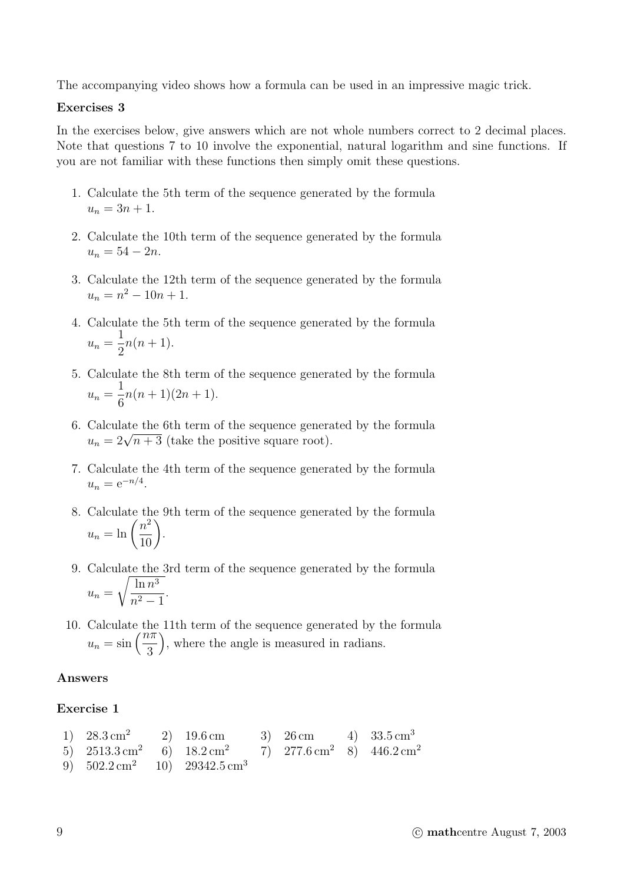The accompanying video shows how a formula can be used in an impressive magic trick.

#### **Exercises 3**

In the exercises below, give answers which are not whole numbers correct to 2 decimal places. Note that questions 7 to 10 involve the exponential, natural logarithm and sine functions. If you are not familiar with these functions then simply omit these questions.

- 1. Calculate the 5th term of the sequence generated by the formula  $u_n = 3n + 1.$
- 2. Calculate the 10th term of the sequence generated by the formula  $u_n = 54 - 2n$ .
- 3. Calculate the 12th term of the sequence generated by the formula  $u_n = n^2 - 10n + 1.$
- 4. Calculate the 5th term of the sequence generated by the formula  $u_n=\frac{1}{2}$  $n(n+1)$ .
- 5. Calculate the 8th term of the sequence generated by the formula  $u_n=\frac{1}{6}$  $n(n+1)(2n+1).$
- 6. Calculate the 6th term of the sequence generated by the formula  $u_n = 2\sqrt{n+3}$  (take the positive square root).
- 7. Calculate the 4th term of the sequence generated by the formula  $u_n = e^{-n/4}.$
- 8. Calculate the 9th term of the sequence generated by the formula  $u_n = \ln\left(\frac{n^2}{10}\right).$
- 9. Calculate the 3rd term of the sequence generated by the formula  $u_n =$  $\int$  ln  $n^3$  $\frac{m}{n^2-1}$ .
- 10. Calculate the 11th term of the sequence generated by the formula  $u_n = \sin\left(\frac{n\pi}{3}\right)$ , where the angle is measured in radians.

### **Answers**

### **Exercise 1**

1)  $28.3 \text{ cm}^2$  2)  $19.6 \text{ cm}$  3)  $26 \text{ cm}$  4)  $33.5 \text{ cm}^3$ 5)  $2513.3 \text{ cm}^2$  6)  $18.2 \text{ cm}^2$  7)  $277.6 \text{ cm}^2$  8)  $446.2 \text{ cm}^2$ 9)  $502.2 \text{ cm}^2$  10)  $29342.5 \text{ cm}^3$